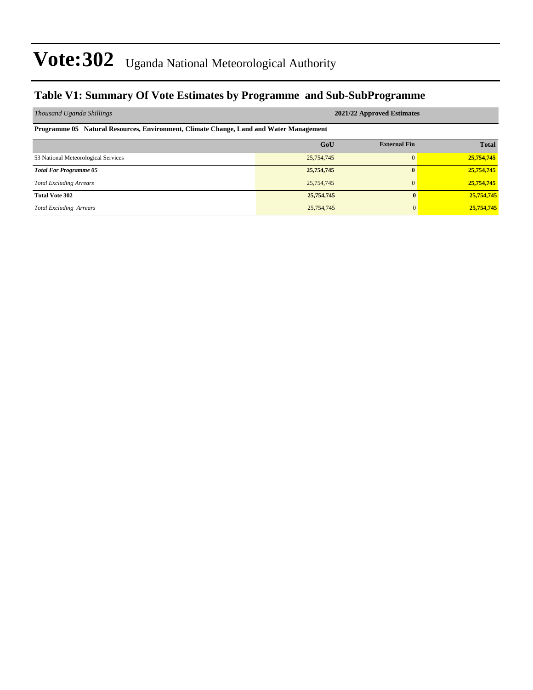#### **Table V1: Summary Of Vote Estimates by Programme and Sub-SubProgramme**

| Thousand Uganda Shillings                                                              | 2021/22 Approved Estimates |                     |              |  |  |  |  |  |  |  |
|----------------------------------------------------------------------------------------|----------------------------|---------------------|--------------|--|--|--|--|--|--|--|
| Programme 05 Natural Resources, Environment, Climate Change, Land and Water Management |                            |                     |              |  |  |  |  |  |  |  |
|                                                                                        | GoU                        | <b>External Fin</b> | <b>Total</b> |  |  |  |  |  |  |  |
| 53 National Meteorological Services                                                    | 25,754,745                 | 0                   | 25,754,745   |  |  |  |  |  |  |  |
| <b>Total For Programme 05</b>                                                          | 25,754,745                 | $\mathbf{0}$        | 25,754,745   |  |  |  |  |  |  |  |
| <b>Total Excluding Arrears</b>                                                         | 25,754,745                 | $\overline{0}$      | 25,754,745   |  |  |  |  |  |  |  |
| <b>Total Vote 302</b>                                                                  | 25,754,745                 | $\mathbf{0}$        | 25,754,745   |  |  |  |  |  |  |  |
| <b>Total Excluding Arrears</b>                                                         | 25,754,745                 | $\mathbf{0}$        | 25,754,745   |  |  |  |  |  |  |  |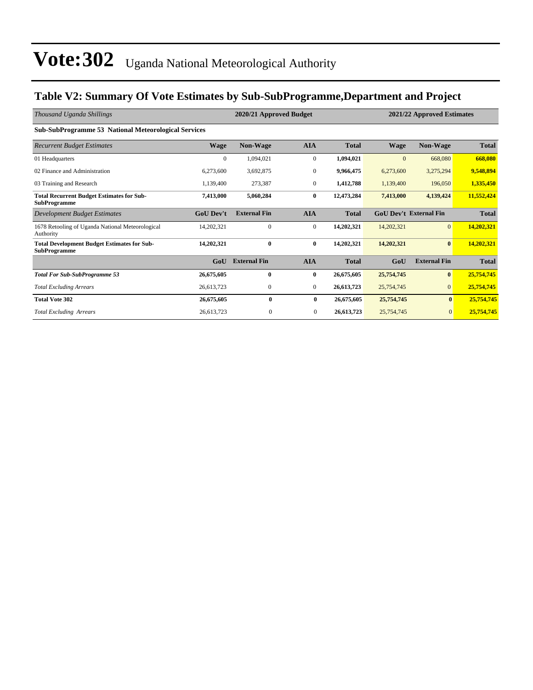### **Table V2: Summary Of Vote Estimates by Sub-SubProgramme,Department and Project**

| Thousand Uganda Shillings                                                 |                  | 2020/21 Approved Budget<br>2021/22 Approved Estimates |                |              |              |                               |              |
|---------------------------------------------------------------------------|------------------|-------------------------------------------------------|----------------|--------------|--------------|-------------------------------|--------------|
| <b>Sub-SubProgramme 53 National Meteorological Services</b>               |                  |                                                       |                |              |              |                               |              |
| <b>Recurrent Budget Estimates</b>                                         | <b>Wage</b>      | Non-Wage                                              | <b>AIA</b>     | <b>Total</b> | <b>Wage</b>  | Non-Wage                      | <b>Total</b> |
| 01 Headquarters                                                           | $\overline{0}$   | 1,094,021                                             | $\mathbf{0}$   | 1,094,021    | $\mathbf{0}$ | 668,080                       | 668,080      |
| 02 Finance and Administration                                             | 6,273,600        | 3,692,875                                             | $\mathbf{0}$   | 9,966,475    | 6,273,600    | 3,275,294                     | 9,548,894    |
| 03 Training and Research                                                  | 1,139,400        | 273,387                                               | $\mathbf{0}$   | 1,412,788    | 1,139,400    | 196,050                       | 1,335,450    |
| <b>Total Recurrent Budget Estimates for Sub-</b><br><b>SubProgramme</b>   | 7,413,000        | 5,060,284                                             | 0              | 12,473,284   | 7,413,000    | 4,139,424                     | 11,552,424   |
| Development Budget Estimates                                              | <b>GoU Dev't</b> | <b>External Fin</b>                                   | <b>AIA</b>     | <b>Total</b> |              | <b>GoU Dev't External Fin</b> | <b>Total</b> |
| 1678 Retooling of Uganda National Meteorological<br>Authority             | 14,202,321       | $\mathbf{0}$                                          | $\mathbf{0}$   | 14,202,321   | 14,202,321   | $\overline{0}$                | 14,202,321   |
| <b>Total Development Budget Estimates for Sub-</b><br><b>SubProgramme</b> | 14,202,321       | $\mathbf{0}$                                          | $\bf{0}$       | 14,202,321   | 14,202,321   | $\bf{0}$                      | 14,202,321   |
|                                                                           | GoU              | <b>External Fin</b>                                   | <b>AIA</b>     | <b>Total</b> | GoU          | <b>External Fin</b>           | <b>Total</b> |
| <b>Total For Sub-SubProgramme 53</b>                                      | 26,675,605       | $\bf{0}$                                              | 0              | 26,675,605   | 25,754,745   | $\mathbf{0}$                  | 25,754,745   |
| <b>Total Excluding Arrears</b>                                            | 26,613,723       | $\mathbf{0}$                                          | $\mathbf{0}$   | 26,613,723   | 25,754,745   | $\overline{0}$                | 25,754,745   |
| <b>Total Vote 302</b>                                                     | 26,675,605       | $\mathbf{0}$                                          | $\bf{0}$       | 26,675,605   | 25,754,745   | $\mathbf{0}$                  | 25,754,745   |
| <b>Total Excluding Arrears</b>                                            | 26,613,723       | $\mathbf{0}$                                          | $\overline{0}$ | 26,613,723   | 25,754,745   | $\mathbf{0}$                  | 25,754,745   |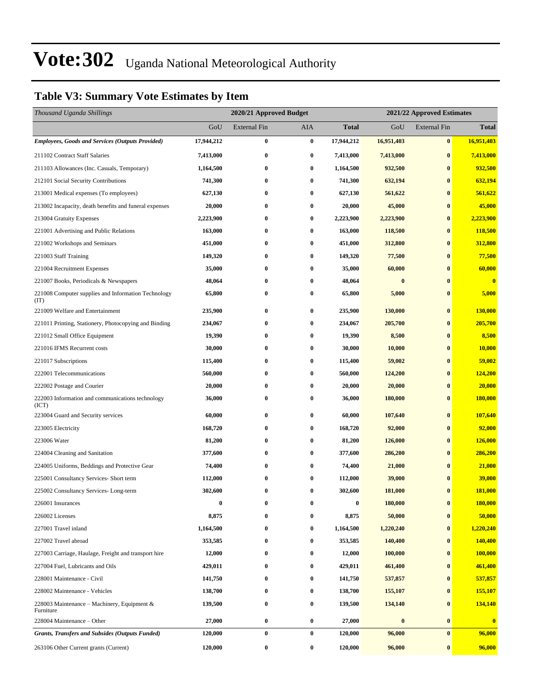### **Table V3: Summary Vote Estimates by Item**

| Thousand Uganda Shillings                                   |                  | 2020/21 Approved Budget<br>2021/22 Approved Estimates |                  |                  |            |                     |                |
|-------------------------------------------------------------|------------------|-------------------------------------------------------|------------------|------------------|------------|---------------------|----------------|
|                                                             | GoU              | External Fin                                          | AIA              | <b>Total</b>     | GoU        | <b>External Fin</b> | <b>Total</b>   |
| <b>Employees, Goods and Services (Outputs Provided)</b>     | 17,944,212       | $\bf{0}$                                              | $\bf{0}$         | 17,944,212       | 16,951,403 | $\bf{0}$            | 16,951,403     |
| 211102 Contract Staff Salaries                              | 7,413,000        | $\bf{0}$                                              | $\bf{0}$         | 7,413,000        | 7,413,000  | $\bf{0}$            | 7,413,000      |
| 211103 Allowances (Inc. Casuals, Temporary)                 | 1,164,500        | $\bf{0}$                                              | $\bf{0}$         | 1,164,500        | 932,500    | $\bf{0}$            | 932,500        |
| 212101 Social Security Contributions                        | 741,300          | $\bf{0}$                                              | $\bf{0}$         | 741,300          | 632,194    | $\bf{0}$            | 632,194        |
| 213001 Medical expenses (To employees)                      | 627,130          | $\bf{0}$                                              | $\bf{0}$         | 627,130          | 561,622    | $\bf{0}$            | 561,622        |
| 213002 Incapacity, death benefits and funeral expenses      | 20,000           | $\bf{0}$                                              | $\bf{0}$         | 20,000           | 45,000     | $\bf{0}$            | 45,000         |
| 213004 Gratuity Expenses                                    | 2,223,900        | $\bf{0}$                                              | $\bf{0}$         | 2,223,900        | 2,223,900  | $\bf{0}$            | 2,223,900      |
| 221001 Advertising and Public Relations                     | 163,000          | $\bf{0}$                                              | $\bf{0}$         | 163,000          | 118,500    | $\bf{0}$            | 118,500        |
| 221002 Workshops and Seminars                               | 451,000          | $\bf{0}$                                              | $\bf{0}$         | 451,000          | 312,800    | $\bf{0}$            | 312,800        |
| 221003 Staff Training                                       | 149,320          | $\bf{0}$                                              | $\bf{0}$         | 149,320          | 77,500     | $\bf{0}$            | 77,500         |
| 221004 Recruitment Expenses                                 | 35,000           | $\bf{0}$                                              | $\bf{0}$         | 35,000           | 60,000     | $\bf{0}$            | 60,000         |
| 221007 Books, Periodicals & Newspapers                      | 48,064           | 0                                                     | $\bf{0}$         | 48,064           | $\bf{0}$   | $\bf{0}$            | $\bf{0}$       |
| 221008 Computer supplies and Information Technology<br>(TT) | 65,800           | $\bf{0}$                                              | $\boldsymbol{0}$ | 65,800           | 5,000      | $\bf{0}$            | 5,000          |
| 221009 Welfare and Entertainment                            | 235,900          | $\bf{0}$                                              | $\bf{0}$         | 235,900          | 130,000    | $\bf{0}$            | 130,000        |
| 221011 Printing, Stationery, Photocopying and Binding       | 234,067          | $\bf{0}$                                              | $\bf{0}$         | 234,067          | 205,700    | $\bf{0}$            | 205,700        |
| 221012 Small Office Equipment                               | 19,390           | $\bf{0}$                                              | $\bf{0}$         | 19,390           | 8,500      | $\bf{0}$            | 8,500          |
| 221016 IFMS Recurrent costs                                 | 30,000           | $\bf{0}$                                              | $\bf{0}$         | 30,000           | 10,000     | $\bf{0}$            | 10,000         |
| 221017 Subscriptions                                        | 115,400          | $\bf{0}$                                              | $\bf{0}$         | 115,400          | 59,002     | $\bf{0}$            | 59,002         |
| 222001 Telecommunications                                   | 560,000          | $\bf{0}$                                              | $\bf{0}$         | 560,000          | 124,200    | $\bf{0}$            | 124,200        |
| 222002 Postage and Courier                                  | 20,000           | $\bf{0}$                                              | $\bf{0}$         | 20,000           | 20,000     | $\bf{0}$            | 20,000         |
| 222003 Information and communications technology<br>(ICT)   | 36,000           | $\bf{0}$                                              | $\bf{0}$         | 36,000           | 180,000    | $\bf{0}$            | <b>180,000</b> |
| 223004 Guard and Security services                          | 60,000           | $\bf{0}$                                              | $\bf{0}$         | 60,000           | 107,640    | $\bf{0}$            | 107,640        |
| 223005 Electricity                                          | 168,720          | $\bf{0}$                                              | $\bf{0}$         | 168,720          | 92,000     | $\bf{0}$            | 92,000         |
| 223006 Water                                                | 81,200           | $\bf{0}$                                              | $\bf{0}$         | 81,200           | 126,000    | $\bf{0}$            | 126,000        |
| 224004 Cleaning and Sanitation                              | 377,600          | $\bf{0}$                                              | $\bf{0}$         | 377,600          | 286,200    | $\bf{0}$            | 286,200        |
| 224005 Uniforms, Beddings and Protective Gear               | 74,400           | $\bf{0}$                                              | $\bf{0}$         | 74,400           | 21,000     | $\bf{0}$            | 21,000         |
| 225001 Consultancy Services- Short term                     | 112,000          | $\bf{0}$                                              | $\bf{0}$         | 112,000          | 39,000     | $\bf{0}$            | 39,000         |
| 225002 Consultancy Services-Long-term                       | 302,600          | $\bf{0}$                                              | $\bf{0}$         | 302,600          | 181,000    | $\bf{0}$            | 181,000        |
| 226001 Insurances                                           | $\boldsymbol{0}$ | $\bf{0}$                                              | $\bf{0}$         | $\boldsymbol{0}$ | 180,000    | $\bf{0}$            | 180,000        |
| 226002 Licenses                                             | 8,875            | $\bf{0}$                                              | $\bf{0}$         | 8,875            | 50,000     | $\bf{0}$            | 50,000         |
| 227001 Travel inland                                        | 1,164,500        | $\bf{0}$                                              | $\bf{0}$         | 1,164,500        | 1,220,240  | $\bf{0}$            | 1,220,240      |
| 227002 Travel abroad                                        | 353,585          | $\bf{0}$                                              | $\bf{0}$         | 353,585          | 140,400    | $\bf{0}$            | 140,400        |
| 227003 Carriage, Haulage, Freight and transport hire        | 12,000           | $\bf{0}$                                              | $\bf{0}$         | 12,000           | 100,000    | $\bf{0}$            | 100,000        |
| 227004 Fuel, Lubricants and Oils                            | 429,011          | 0                                                     | $\bf{0}$         | 429,011          | 461,400    | $\bf{0}$            | 461,400        |
| 228001 Maintenance - Civil                                  | 141,750          | $\bf{0}$                                              | $\bf{0}$         | 141,750          | 537,857    | $\bf{0}$            | 537,857        |
| 228002 Maintenance - Vehicles                               | 138,700          | $\bf{0}$                                              | $\bf{0}$         | 138,700          | 155,107    | $\bf{0}$            | 155,107        |
| 228003 Maintenance - Machinery, Equipment &<br>Furniture    | 139,500          | $\bf{0}$                                              | $\bf{0}$         | 139,500          | 134,140    | $\bf{0}$            | 134,140        |
| 228004 Maintenance - Other                                  | 27,000           | $\bf{0}$                                              | $\bf{0}$         | 27,000           | $\bf{0}$   | $\bf{0}$            | $\bf{0}$       |
| <b>Grants, Transfers and Subsides (Outputs Funded)</b>      | 120,000          | $\pmb{0}$                                             | $\boldsymbol{0}$ | 120,000          | 96,000     | $\bf{0}$            | 96,000         |
| 263106 Other Current grants (Current)                       | 120,000          | $\pmb{0}$                                             | $\bf{0}$         | 120,000          | 96,000     | $\bf{0}$            | 96,000         |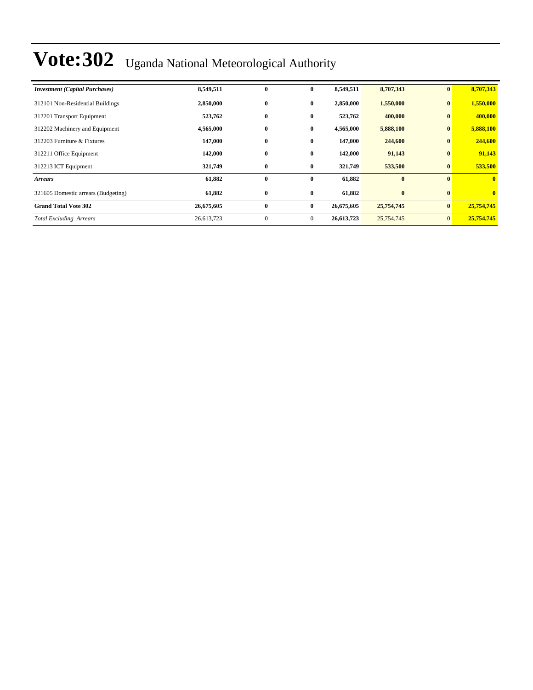| <b>Investment</b> (Capital Purchases) | 8,549,511  | $\bf{0}$     | $\bf{0}$     | 8,549,511  | 8,707,343  | $\bf{0}$       | 8,707,343    |
|---------------------------------------|------------|--------------|--------------|------------|------------|----------------|--------------|
| 312101 Non-Residential Buildings      | 2,850,000  | $\bf{0}$     | $\bf{0}$     | 2,850,000  | 1,550,000  | $\bf{0}$       | 1,550,000    |
| 312201 Transport Equipment            | 523,762    | $\bf{0}$     | $\bf{0}$     | 523,762    | 400,000    | $\bf{0}$       | 400,000      |
| 312202 Machinery and Equipment        | 4,565,000  | $\bf{0}$     | $\bf{0}$     | 4,565,000  | 5,888,100  | $\bf{0}$       | 5,888,100    |
| 312203 Furniture & Fixtures           | 147,000    | $\bf{0}$     | $\bf{0}$     | 147,000    | 244,600    | $\bf{0}$       | 244,600      |
| 312211 Office Equipment               | 142,000    | $\bf{0}$     | $\bf{0}$     | 142,000    | 91,143     | $\bf{0}$       | 91,143       |
| 312213 ICT Equipment                  | 321,749    | $\bf{0}$     | $\bf{0}$     | 321,749    | 533,500    | $\bf{0}$       | 533,500      |
| <b>Arrears</b>                        | 61,882     | $\bf{0}$     | $\bf{0}$     | 61,882     | $\bf{0}$   | $\bf{0}$       | $\mathbf{0}$ |
| 321605 Domestic arrears (Budgeting)   | 61,882     | $\bf{0}$     | $\bf{0}$     | 61,882     | $\bf{0}$   | $\mathbf{0}$   | $\bf{0}$     |
| <b>Grand Total Vote 302</b>           | 26,675,605 | $\bf{0}$     | $\bf{0}$     | 26,675,605 | 25,754,745 | $\bf{0}$       | 25,754,745   |
| <b>Total Excluding Arrears</b>        | 26,613,723 | $\mathbf{0}$ | $\mathbf{0}$ | 26,613,723 | 25,754,745 | $\overline{0}$ | 25,754,745   |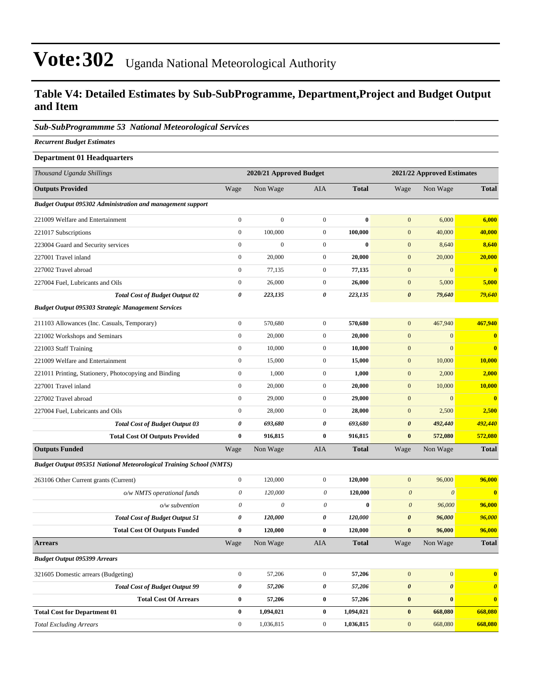#### **Table V4: Detailed Estimates by Sub-SubProgramme, Department,Project and Budget Output and Item**

#### *Sub-SubProgrammme 53 National Meteorological Services*

*Recurrent Budget Estimates*

| <b>Department 01 Headquarters</b>                                          |                           |                         |                           |              |                       |                            |                       |  |  |
|----------------------------------------------------------------------------|---------------------------|-------------------------|---------------------------|--------------|-----------------------|----------------------------|-----------------------|--|--|
| Thousand Uganda Shillings                                                  |                           | 2020/21 Approved Budget |                           |              |                       | 2021/22 Approved Estimates |                       |  |  |
| <b>Outputs Provided</b>                                                    | Wage                      | Non Wage                | AIA                       | <b>Total</b> | Wage                  | Non Wage                   | <b>Total</b>          |  |  |
| <b>Budget Output 095302 Administration and management support</b>          |                           |                         |                           |              |                       |                            |                       |  |  |
| 221009 Welfare and Entertainment                                           | $\boldsymbol{0}$          | $\boldsymbol{0}$        | $\mathbf{0}$              | $\bf{0}$     | $\mathbf{0}$          | 6,000                      | 6,000                 |  |  |
| 221017 Subscriptions                                                       | $\boldsymbol{0}$          | 100,000                 | $\overline{0}$            | 100,000      | $\mathbf{0}$          | 40,000                     | 40,000                |  |  |
| 223004 Guard and Security services                                         | $\boldsymbol{0}$          | $\boldsymbol{0}$        | $\overline{0}$            | $\bf{0}$     | $\mathbf{0}$          | 8,640                      | 8,640                 |  |  |
| 227001 Travel inland                                                       | $\boldsymbol{0}$          | 20,000                  | $\mathbf{0}$              | 20,000       | $\mathbf{0}$          | 20,000                     | 20,000                |  |  |
| 227002 Travel abroad                                                       | $\boldsymbol{0}$          | 77,135                  | $\mathbf{0}$              | 77,135       | $\mathbf{0}$          | $\mathbf{0}$               | $\bf{0}$              |  |  |
| 227004 Fuel, Lubricants and Oils                                           | $\boldsymbol{0}$          | 26,000                  | $\mathbf{0}$              | 26,000       | $\mathbf{0}$          | 5,000                      | 5,000                 |  |  |
| <b>Total Cost of Budget Output 02</b>                                      | 0                         | 223,135                 | 0                         | 223,135      | $\boldsymbol{\theta}$ | 79,640                     | 79,640                |  |  |
| <b>Budget Output 095303 Strategic Management Services</b>                  |                           |                         |                           |              |                       |                            |                       |  |  |
| 211103 Allowances (Inc. Casuals, Temporary)                                | $\boldsymbol{0}$          | 570,680                 | $\boldsymbol{0}$          | 570,680      | $\mathbf{0}$          | 467,940                    | 467,940               |  |  |
| 221002 Workshops and Seminars                                              | $\boldsymbol{0}$          | 20,000                  | $\mathbf{0}$              | 20,000       | $\mathbf{0}$          | $\mathbf{0}$               | $\bf{0}$              |  |  |
| 221003 Staff Training                                                      | $\boldsymbol{0}$          | 10,000                  | $\mathbf{0}$              | 10,000       | $\mathbf{0}$          | $\mathbf{0}$               | $\bf{0}$              |  |  |
| 221009 Welfare and Entertainment                                           | $\boldsymbol{0}$          | 15,000                  | $\mathbf{0}$              | 15,000       | $\mathbf{0}$          | 10,000                     | 10,000                |  |  |
| 221011 Printing, Stationery, Photocopying and Binding                      | $\boldsymbol{0}$          | 1,000                   | $\mathbf{0}$              | 1,000        | $\mathbf{0}$          | 2,000                      | 2,000                 |  |  |
| 227001 Travel inland                                                       | $\boldsymbol{0}$          | 20,000                  | $\mathbf{0}$              | 20,000       | $\mathbf{0}$          | 10,000                     | 10,000                |  |  |
| 227002 Travel abroad                                                       | $\boldsymbol{0}$          | 29,000                  | $\mathbf{0}$              | 29,000       | $\mathbf{0}$          | $\mathbf{0}$               | $\bf{0}$              |  |  |
| 227004 Fuel, Lubricants and Oils                                           | $\boldsymbol{0}$          | 28,000                  | $\mathbf{0}$              | 28,000       | $\mathbf{0}$          | 2,500                      | 2,500                 |  |  |
| <b>Total Cost of Budget Output 03</b>                                      | 0                         | 693,680                 | 0                         | 693,680      | $\boldsymbol{\theta}$ | 492,440                    | 492,440               |  |  |
| <b>Total Cost Of Outputs Provided</b>                                      | $\bf{0}$                  | 916,815                 | $\bf{0}$                  | 916,815      | $\bf{0}$              | 572,080                    | 572,080               |  |  |
| <b>Outputs Funded</b>                                                      | Wage                      | Non Wage                | AIA                       | <b>Total</b> | Wage                  | Non Wage                   | <b>Total</b>          |  |  |
| <b>Budget Output 095351 National Meteorological Training School (NMTS)</b> |                           |                         |                           |              |                       |                            |                       |  |  |
| 263106 Other Current grants (Current)                                      | $\boldsymbol{0}$          | 120,000                 | $\boldsymbol{0}$          | 120,000      | $\mathbf{0}$          | 96,000                     | 96,000                |  |  |
| o/w NMTS operational funds                                                 | 0                         | 120,000                 | $\boldsymbol{\theta}$     | 120,000      | $\boldsymbol{\theta}$ | $\boldsymbol{\theta}$      | $\bf{0}$              |  |  |
| $o/w$ subvention                                                           | $\boldsymbol{\mathit{0}}$ | $\theta$                | $\boldsymbol{\mathit{0}}$ | $\bf{0}$     | $\boldsymbol{\theta}$ | 96,000                     | 96,000                |  |  |
| <b>Total Cost of Budget Output 51</b>                                      | 0                         | 120,000                 | 0                         | 120,000      | $\boldsymbol{\theta}$ | 96,000                     | 96,000                |  |  |
| <b>Total Cost Of Outputs Funded</b>                                        | $\bf{0}$                  | 120,000                 | $\bf{0}$                  | 120,000      | $\bf{0}$              | 96,000                     | 96,000                |  |  |
| <b>Arrears</b>                                                             | Wage                      | Non Wage                | <b>AIA</b>                | <b>Total</b> | Wage                  | Non Wage                   | <b>Total</b>          |  |  |
| <b>Budget Output 095399 Arrears</b>                                        |                           |                         |                           |              |                       |                            |                       |  |  |
| 321605 Domestic arrears (Budgeting)                                        | $\boldsymbol{0}$          | 57,206                  | $\boldsymbol{0}$          | 57,206       | $\boldsymbol{0}$      | $\vert 0 \vert$            | $\bf{0}$              |  |  |
| <b>Total Cost of Budget Output 99</b>                                      | 0                         | 57,206                  | 0                         | 57,206       | $\boldsymbol{\theta}$ | $\boldsymbol{\theta}$      | $\boldsymbol{\theta}$ |  |  |
| <b>Total Cost Of Arrears</b>                                               | $\bf{0}$                  | 57,206                  | $\bf{0}$                  | 57,206       | $\pmb{0}$             | $\bf{0}$                   | $\bf{0}$              |  |  |
| <b>Total Cost for Department 01</b>                                        | $\bf{0}$                  | 1,094,021               | $\bf{0}$                  | 1,094,021    | $\pmb{0}$             | 668,080                    | 668,080               |  |  |
| <b>Total Excluding Arrears</b>                                             | $\overline{0}$            | 1,036,815               | $\mathbf{0}$              | 1,036,815    | $\mathbf{0}$          | 668,080                    | 668,080               |  |  |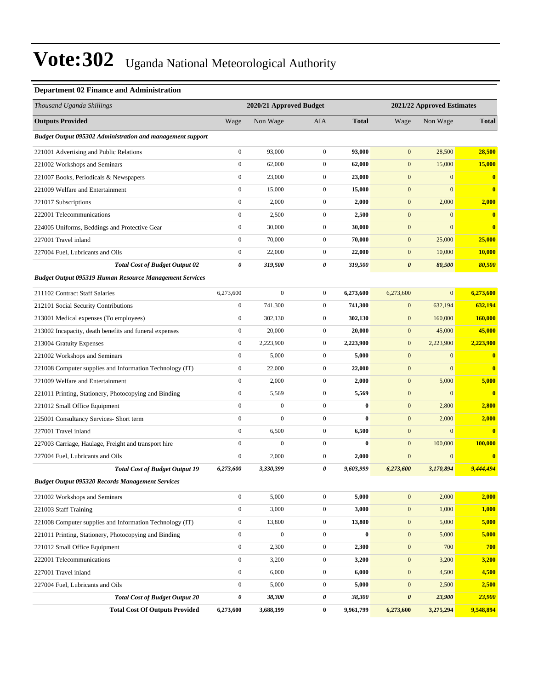#### **Department 02 Finance and Administration**

| Thousand Uganda Shillings                                         |                       | 2020/21 Approved Budget |                  |              | 2021/22 Approved Estimates |                  |                         |
|-------------------------------------------------------------------|-----------------------|-------------------------|------------------|--------------|----------------------------|------------------|-------------------------|
| <b>Outputs Provided</b>                                           | Wage                  | Non Wage                | AIA              | <b>Total</b> | Wage                       | Non Wage         | <b>Total</b>            |
| <b>Budget Output 095302 Administration and management support</b> |                       |                         |                  |              |                            |                  |                         |
| 221001 Advertising and Public Relations                           | $\boldsymbol{0}$      | 93,000                  | $\mathbf{0}$     | 93,000       | $\mathbf{0}$               | 28,500           | 28,500                  |
| 221002 Workshops and Seminars                                     | $\boldsymbol{0}$      | 62,000                  | $\boldsymbol{0}$ | 62,000       | $\mathbf{0}$               | 15,000           | 15,000                  |
| 221007 Books, Periodicals & Newspapers                            | $\boldsymbol{0}$      | 23,000                  | $\boldsymbol{0}$ | 23,000       | $\mathbf{0}$               | $\boldsymbol{0}$ | $\bf{0}$                |
| 221009 Welfare and Entertainment                                  | $\boldsymbol{0}$      | 15,000                  | $\mathbf{0}$     | 15,000       | $\mathbf{0}$               | $\mathbf{0}$     | $\bf{0}$                |
| 221017 Subscriptions                                              | $\boldsymbol{0}$      | 2,000                   | $\boldsymbol{0}$ | 2,000        | $\mathbf{0}$               | 2,000            | 2,000                   |
| 222001 Telecommunications                                         | $\boldsymbol{0}$      | 2,500                   | $\mathbf{0}$     | 2,500        | $\mathbf{0}$               | $\mathbf{0}$     | $\mathbf{0}$            |
| 224005 Uniforms, Beddings and Protective Gear                     | $\boldsymbol{0}$      | 30,000                  | $\boldsymbol{0}$ | 30,000       | $\mathbf{0}$               | $\mathbf{0}$     | $\bf{0}$                |
| 227001 Travel inland                                              | $\boldsymbol{0}$      | 70,000                  | $\boldsymbol{0}$ | 70,000       | $\mathbf{0}$               | 25,000           | 25,000                  |
| 227004 Fuel, Lubricants and Oils                                  | $\boldsymbol{0}$      | 22,000                  | $\mathbf{0}$     | 22,000       | $\mathbf{0}$               | 10,000           | 10,000                  |
| <b>Total Cost of Budget Output 02</b>                             | $\pmb{\theta}$        | 319,500                 | 0                | 319,500      | $\boldsymbol{\theta}$      | 80,500           | 80,500                  |
| <b>Budget Output 095319 Human Resource Management Services</b>    |                       |                         |                  |              |                            |                  |                         |
| 211102 Contract Staff Salaries                                    | 6,273,600             | $\boldsymbol{0}$        | $\boldsymbol{0}$ | 6,273,600    | 6,273,600                  | $\mathbf{0}$     | 6,273,600               |
| 212101 Social Security Contributions                              | $\boldsymbol{0}$      | 741.300                 | $\boldsymbol{0}$ | 741,300      | $\mathbf{0}$               | 632,194          | 632,194                 |
| 213001 Medical expenses (To employees)                            | $\boldsymbol{0}$      | 302,130                 | $\boldsymbol{0}$ | 302,130      | $\mathbf{0}$               | 160,000          | 160,000                 |
| 213002 Incapacity, death benefits and funeral expenses            | $\boldsymbol{0}$      | 20,000                  | $\boldsymbol{0}$ | 20,000       | $\mathbf{0}$               | 45,000           | 45,000                  |
| 213004 Gratuity Expenses                                          | $\boldsymbol{0}$      | 2,223,900               | $\boldsymbol{0}$ | 2,223,900    | $\mathbf{0}$               | 2,223,900        | 2,223,900               |
| 221002 Workshops and Seminars                                     | $\boldsymbol{0}$      | 5,000                   | $\boldsymbol{0}$ | 5,000        | $\mathbf{0}$               | $\boldsymbol{0}$ | $\bf{0}$                |
| 221008 Computer supplies and Information Technology (IT)          | $\boldsymbol{0}$      | 22,000                  | $\boldsymbol{0}$ | 22,000       | $\mathbf{0}$               | $\mathbf{0}$     | $\bf{0}$                |
| 221009 Welfare and Entertainment                                  | $\mathbf{0}$          | 2,000                   | $\boldsymbol{0}$ | 2,000        | $\mathbf{0}$               | 5,000            | 5,000                   |
| 221011 Printing, Stationery, Photocopying and Binding             | $\boldsymbol{0}$      | 5,569                   | $\boldsymbol{0}$ | 5,569        | $\mathbf{0}$               | $\mathbf{0}$     | $\overline{\mathbf{0}}$ |
| 221012 Small Office Equipment                                     | $\mathbf{0}$          | $\boldsymbol{0}$        | $\boldsymbol{0}$ | $\bf{0}$     | $\mathbf{0}$               | 2,800            | 2,800                   |
| 225001 Consultancy Services- Short term                           | $\boldsymbol{0}$      | $\boldsymbol{0}$        | $\boldsymbol{0}$ | $\bf{0}$     | $\mathbf{0}$               | 2,000            | 2,000                   |
| 227001 Travel inland                                              | $\boldsymbol{0}$      | 6,500                   | $\boldsymbol{0}$ | 6,500        | $\mathbf{0}$               | $\mathbf{0}$     | $\overline{\mathbf{0}}$ |
| 227003 Carriage, Haulage, Freight and transport hire              | $\mathbf{0}$          | $\mathbf{0}$            | $\boldsymbol{0}$ | $\bf{0}$     | $\mathbf{0}$               | 100,000          | 100,000                 |
| 227004 Fuel, Lubricants and Oils                                  | $\boldsymbol{0}$      | 2,000                   | $\boldsymbol{0}$ | 2,000        | $\mathbf{0}$               | $\boldsymbol{0}$ | $\overline{\mathbf{0}}$ |
| <b>Total Cost of Budget Output 19</b>                             | 6,273,600             | 3,330,399               | 0                | 9,603,999    | 6,273,600                  | 3,170,894        | 9,444,494               |
| <b>Budget Output 095320 Records Management Services</b>           |                       |                         |                  |              |                            |                  |                         |
| 221002 Workshops and Seminars                                     | $\boldsymbol{0}$      | 5,000                   | $\boldsymbol{0}$ | 5,000        | $\mathbf{0}$               | 2,000            | 2,000                   |
| 221003 Staff Training                                             | $\boldsymbol{0}$      | 3,000                   | $\boldsymbol{0}$ | 3,000        | $\boldsymbol{0}$           | 1,000            | 1,000                   |
| 221008 Computer supplies and Information Technology (IT)          | $\boldsymbol{0}$      | 13,800                  | $\boldsymbol{0}$ | 13,800       | $\boldsymbol{0}$           | 5,000            | 5,000                   |
| 221011 Printing, Stationery, Photocopying and Binding             | $\boldsymbol{0}$      | $\boldsymbol{0}$        | $\boldsymbol{0}$ | $\bf{0}$     | $\mathbf{0}$               | 5,000            | 5,000                   |
| 221012 Small Office Equipment                                     | $\boldsymbol{0}$      | 2,300                   | $\boldsymbol{0}$ | 2,300        | $\mathbf{0}$               | 700              | 700                     |
| 222001 Telecommunications                                         | $\boldsymbol{0}$      | 3,200                   | $\boldsymbol{0}$ | 3,200        | $\boldsymbol{0}$           | 3,200            | 3,200                   |
| 227001 Travel inland                                              | $\boldsymbol{0}$      | 6,000                   | $\boldsymbol{0}$ | 6,000        | $\mathbf{0}$               | 4,500            | 4,500                   |
| 227004 Fuel, Lubricants and Oils                                  | $\boldsymbol{0}$      | 5,000                   | $\boldsymbol{0}$ | 5,000        | $\boldsymbol{0}$           | 2,500            | 2,500                   |
| <b>Total Cost of Budget Output 20</b>                             | $\boldsymbol{\theta}$ | 38,300                  | 0                | 38,300       | $\boldsymbol{\theta}$      | 23,900           | 23,900                  |
| <b>Total Cost Of Outputs Provided</b>                             | 6,273,600             | 3,688,199               | $\bf{0}$         | 9,961,799    | 6,273,600                  | 3,275,294        | 9,548,894               |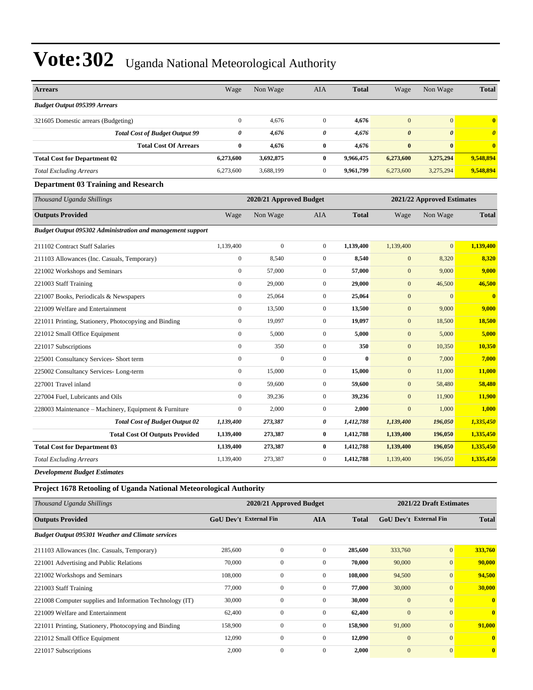| <b>Arrears</b>                                                            | Wage             | Non Wage                | <b>AIA</b>       | <b>Total</b> | Wage                  | Non Wage                   | <b>Total</b>          |
|---------------------------------------------------------------------------|------------------|-------------------------|------------------|--------------|-----------------------|----------------------------|-----------------------|
| <b>Budget Output 095399 Arrears</b>                                       |                  |                         |                  |              |                       |                            |                       |
| 321605 Domestic arrears (Budgeting)                                       | $\boldsymbol{0}$ | 4,676                   | $\boldsymbol{0}$ | 4,676        | $\mathbf{0}$          | $\overline{0}$             | $\mathbf{0}$          |
| <b>Total Cost of Budget Output 99</b>                                     | $\pmb{\theta}$   | 4,676                   | 0                | 4,676        | $\boldsymbol{\theta}$ | $\boldsymbol{\theta}$      | $\boldsymbol{\theta}$ |
| <b>Total Cost Of Arrears</b>                                              | $\bf{0}$         | 4,676                   | $\bf{0}$         | 4,676        | $\bf{0}$              | $\bf{0}$                   | $\bf{0}$              |
| <b>Total Cost for Department 02</b>                                       | 6,273,600        | 3,692,875               | $\bf{0}$         | 9,966,475    | 6,273,600             | 3,275,294                  | 9,548,894             |
| <b>Total Excluding Arrears</b>                                            | 6,273,600        | 3,688,199               | $\boldsymbol{0}$ | 9,961,799    | 6,273,600             | 3,275,294                  | 9,548,894             |
| <b>Department 03 Training and Research</b>                                |                  |                         |                  |              |                       |                            |                       |
| Thousand Uganda Shillings                                                 |                  | 2020/21 Approved Budget |                  |              |                       | 2021/22 Approved Estimates |                       |
| <b>Outputs Provided</b>                                                   | Wage             | Non Wage                | <b>AIA</b>       | <b>Total</b> | Wage                  | Non Wage                   | <b>Total</b>          |
| <b>Budget Output 095302 Administration and management support</b>         |                  |                         |                  |              |                       |                            |                       |
| 211102 Contract Staff Salaries                                            | 1,139,400        | $\boldsymbol{0}$        | $\mathbf{0}$     | 1,139,400    | 1,139,400             | $\mathbf{0}$               | 1,139,400             |
| 211103 Allowances (Inc. Casuals, Temporary)                               | $\boldsymbol{0}$ | 8,540                   | $\mathbf{0}$     | 8,540        | $\boldsymbol{0}$      | 8,320                      | 8,320                 |
| 221002 Workshops and Seminars                                             | $\boldsymbol{0}$ | 57,000                  | $\mathbf{0}$     | 57,000       | $\boldsymbol{0}$      | 9,000                      | 9,000                 |
| 221003 Staff Training                                                     | $\mathbf{0}$     | 29,000                  | $\mathbf{0}$     | 29,000       | $\mathbf{0}$          | 46,500                     | 46,500                |
| 221007 Books, Periodicals & Newspapers                                    | $\mathbf{0}$     | 25,064                  | $\mathbf{0}$     | 25,064       | $\mathbf{0}$          | $\mathbf{0}$               | $\bf{0}$              |
| 221009 Welfare and Entertainment                                          | $\boldsymbol{0}$ | 13,500                  | $\mathbf{0}$     | 13,500       | $\mathbf{0}$          | 9,000                      | 9,000                 |
| 221011 Printing, Stationery, Photocopying and Binding                     | $\boldsymbol{0}$ | 19,097                  | $\boldsymbol{0}$ | 19,097       | $\mathbf{0}$          | 18,500                     | 18,500                |
| 221012 Small Office Equipment                                             | $\boldsymbol{0}$ | 5,000                   | $\mathbf{0}$     | 5,000        | $\boldsymbol{0}$      | 5,000                      | 5,000                 |
| 221017 Subscriptions                                                      | $\boldsymbol{0}$ | 350                     | $\boldsymbol{0}$ | 350          | $\mathbf{0}$          | 10,350                     | 10,350                |
| 225001 Consultancy Services- Short term                                   | $\boldsymbol{0}$ | $\mathbf{0}$            | $\boldsymbol{0}$ | $\bf{0}$     | $\mathbf{0}$          | 7,000                      | 7,000                 |
| 225002 Consultancy Services-Long-term                                     | $\boldsymbol{0}$ | 15,000                  | $\boldsymbol{0}$ | 15,000       | $\boldsymbol{0}$      | 11,000                     | 11,000                |
| 227001 Travel inland                                                      | $\boldsymbol{0}$ | 59,600                  | $\boldsymbol{0}$ | 59,600       | $\boldsymbol{0}$      | 58,480                     | 58,480                |
| 227004 Fuel, Lubricants and Oils                                          | $\mathbf{0}$     | 39,236                  | $\mathbf{0}$     | 39,236       | $\mathbf{0}$          | 11,900                     | 11,900                |
| 228003 Maintenance – Machinery, Equipment & Furniture                     | $\boldsymbol{0}$ | 2,000                   | $\boldsymbol{0}$ | 2,000        | $\mathbf{0}$          | 1,000                      | 1,000                 |
| <b>Total Cost of Budget Output 02</b>                                     | 1,139,400        | 273,387                 | 0                | 1,412,788    | 1,139,400             | 196,050                    | 1,335,450             |
| <b>Total Cost Of Outputs Provided</b>                                     | 1,139,400        | 273,387                 | $\bf{0}$         | 1,412,788    | 1,139,400             | 196,050                    | 1,335,450             |
| <b>Total Cost for Department 03</b>                                       | 1,139,400        | 273,387                 | $\bf{0}$         | 1,412,788    | 1,139,400             | 196,050                    | 1,335,450             |
| <b>Total Excluding Arrears</b>                                            | 1,139,400        | 273,387                 | $\mathbf{0}$     | 1,412,788    | 1,139,400             | 196,050                    | 1,335,450             |
| <b>Development Budget Estimates</b>                                       |                  |                         |                  |              |                       |                            |                       |
| <b>Project 1678 Retooling of Uganda National Meteorological Authority</b> |                  |                         |                  |              |                       |                            |                       |

*Thousand Uganda Shillings* **2020/21 Approved Budget 2021/22 Draft Estimates Outputs Provided GoU Dev't External Fin AIA Total GoU Dev't External Fin Total** *Budget Output 095301 Weather and Climate services* 211103 Allowances (Inc. Casuals, Temporary) 285,600 0 0 **285,600** 333,760 0 **333,760** 221001 Advertising and Public Relations 70,000 0 0 **70,000** 90,000 0 **90,000** 221002 Workshops and Seminars 108,000 0 0 **108,000** 94,500 0 **94,500** 221003 Staff Training 77,000 0 0 **77,000** 30,000 0 **30,000** 221008 Computer supplies and Information Technology (IT) 30,000 0 0 **30,000** 0 0 **0** 221009 Welfare and Entertainment 62,400 0 0 **62,400** 0 0 **0** 221011 Printing, Stationery, Photocopying and Binding 158,900 0 0 **158,900** 91,000 0 **91,000** 221012 Small Office Equipment 12,090 0 0 **12,090** 0 0 **0** 221017 Subscriptions 2,000 0 0 **2,000** 0 0 **0**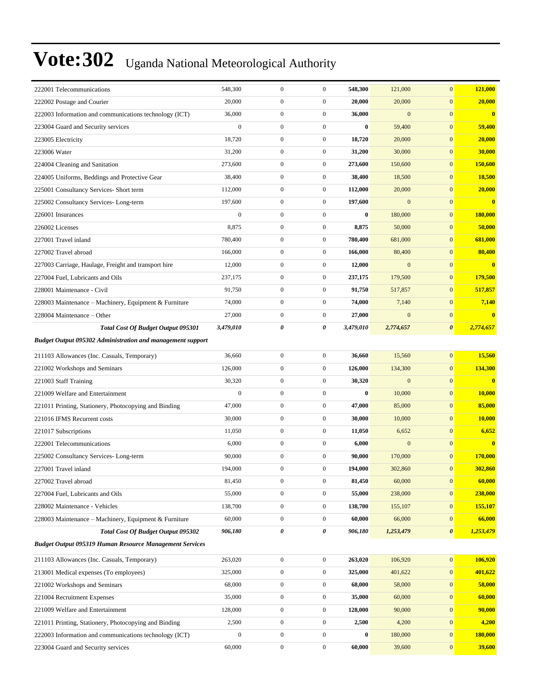| 222001 Telecommunications                                         | 548,300          | $\boldsymbol{0}$ | $\mathbf{0}$     | 548,300   | 121,000          | $\mathbf{0}$          | 121,000                 |
|-------------------------------------------------------------------|------------------|------------------|------------------|-----------|------------------|-----------------------|-------------------------|
| 222002 Postage and Courier                                        | 20,000           | $\boldsymbol{0}$ | $\boldsymbol{0}$ | 20,000    | 20,000           | $\mathbf{0}$          | 20,000                  |
| 222003 Information and communications technology (ICT)            | 36,000           | $\boldsymbol{0}$ | $\boldsymbol{0}$ | 36,000    | $\boldsymbol{0}$ | $\boldsymbol{0}$      | $\bf{0}$                |
| 223004 Guard and Security services                                | $\boldsymbol{0}$ | $\boldsymbol{0}$ | $\boldsymbol{0}$ | $\bf{0}$  | 59,400           | $\mathbf{0}$          | 59,400                  |
| 223005 Electricity                                                | 18,720           | $\boldsymbol{0}$ | $\boldsymbol{0}$ | 18,720    | 20,000           | $\mathbf{0}$          | 20,000                  |
| 223006 Water                                                      | 31,200           | $\overline{0}$   | $\boldsymbol{0}$ | 31,200    | 30,000           | $\mathbf{0}$          | 30,000                  |
| 224004 Cleaning and Sanitation                                    | 273,600          | $\boldsymbol{0}$ | $\boldsymbol{0}$ | 273,600   | 150,600          | $\mathbf{0}$          | 150,600                 |
| 224005 Uniforms, Beddings and Protective Gear                     | 38,400           | $\boldsymbol{0}$ | $\boldsymbol{0}$ | 38,400    | 18,500           | $\mathbf{0}$          | 18,500                  |
| 225001 Consultancy Services- Short term                           | 112,000          | $\boldsymbol{0}$ | $\boldsymbol{0}$ | 112,000   | 20,000           | $\mathbf{0}$          | 20,000                  |
| 225002 Consultancy Services-Long-term                             | 197,600          | $\boldsymbol{0}$ | $\boldsymbol{0}$ | 197,600   | $\mathbf{0}$     | $\mathbf{0}$          | $\bf{0}$                |
| 226001 Insurances                                                 | $\mathbf{0}$     | $\overline{0}$   | $\boldsymbol{0}$ | $\bf{0}$  | 180,000          | $\mathbf{0}$          | 180,000                 |
| 226002 Licenses                                                   | 8,875            | $\boldsymbol{0}$ | $\boldsymbol{0}$ | 8,875     | 50,000           | $\mathbf{0}$          | 50,000                  |
| 227001 Travel inland                                              | 780,400          | $\boldsymbol{0}$ | $\boldsymbol{0}$ | 780,400   | 681,000          | $\mathbf{0}$          | 681,000                 |
| 227002 Travel abroad                                              | 166,000          | $\boldsymbol{0}$ | $\boldsymbol{0}$ | 166,000   | 80,400           | $\mathbf{0}$          | 80,400                  |
| 227003 Carriage, Haulage, Freight and transport hire              | 12,000           | $\boldsymbol{0}$ | $\boldsymbol{0}$ | 12,000    | $\mathbf{0}$     | $\mathbf{0}$          | $\overline{\mathbf{0}}$ |
| 227004 Fuel, Lubricants and Oils                                  | 237,175          | $\overline{0}$   | $\boldsymbol{0}$ | 237,175   | 179,500          | $\mathbf{0}$          | 179,500                 |
| 228001 Maintenance - Civil                                        | 91,750           | $\boldsymbol{0}$ | $\boldsymbol{0}$ | 91,750    | 517,857          | $\boldsymbol{0}$      | 517,857                 |
| 228003 Maintenance – Machinery, Equipment & Furniture             | 74,000           | $\boldsymbol{0}$ | $\boldsymbol{0}$ | 74,000    | 7,140            | $\boldsymbol{0}$      | 7,140                   |
| 228004 Maintenance - Other                                        | 27,000           | $\boldsymbol{0}$ | $\boldsymbol{0}$ | 27,000    | $\mathbf{0}$     | $\boldsymbol{0}$      | $\overline{\mathbf{0}}$ |
| <b>Total Cost Of Budget Output 095301</b>                         | 3,479,010        | 0                | 0                | 3,479,010 | 2,774,657        | $\boldsymbol{\theta}$ | 2,774,657               |
| <b>Budget Output 095302 Administration and management support</b> |                  |                  |                  |           |                  |                       |                         |
| 211103 Allowances (Inc. Casuals, Temporary)                       | 36,660           | $\boldsymbol{0}$ | $\boldsymbol{0}$ | 36,660    | 15,560           | $\boldsymbol{0}$      | 15,560                  |
| 221002 Workshops and Seminars                                     | 126,000          | $\boldsymbol{0}$ | $\boldsymbol{0}$ | 126,000   | 134,300          | $\boldsymbol{0}$      | 134,300                 |
| 221003 Staff Training                                             | 30,320           | $\mathbf{0}$     | $\boldsymbol{0}$ | 30,320    | $\boldsymbol{0}$ | $\mathbf{0}$          | $\bf{0}$                |
| 221009 Welfare and Entertainment                                  | $\mathbf{0}$     | $\overline{0}$   | $\boldsymbol{0}$ | $\bf{0}$  | 10,000           | $\mathbf{0}$          | 10,000                  |
| 221011 Printing, Stationery, Photocopying and Binding             | 47,000           | $\boldsymbol{0}$ | $\boldsymbol{0}$ | 47,000    | 85,000           | $\boldsymbol{0}$      | 85,000                  |
| 221016 IFMS Recurrent costs                                       | 30,000           | $\boldsymbol{0}$ | $\boldsymbol{0}$ | 30,000    | 10,000           | $\boldsymbol{0}$      | 10,000                  |
| 221017 Subscriptions                                              | 11,050           | $\boldsymbol{0}$ | $\boldsymbol{0}$ | 11,050    | 6,652            | $\mathbf{0}$          | 6,652                   |
| 222001 Telecommunications                                         | 6,000            | $\boldsymbol{0}$ | $\boldsymbol{0}$ | 6,000     | $\boldsymbol{0}$ | $\mathbf{0}$          | $\mathbf{0}$            |
| 225002 Consultancy Services-Long-term                             | 90,000           | $\boldsymbol{0}$ | $\boldsymbol{0}$ | 90,000    | 170,000          | $\mathbf{0}$          | 170,000                 |
| 227001 Travel inland                                              | 194,000          | $\boldsymbol{0}$ | $\boldsymbol{0}$ | 194,000   | 302,860          | $\mathbf{0}$          | 302,860                 |
| 227002 Travel abroad                                              | 81,450           | $\boldsymbol{0}$ | $\boldsymbol{0}$ | 81,450    | 60,000           | $\bf{0}$              | 60,000                  |
| 227004 Fuel, Lubricants and Oils                                  | 55,000           | $\boldsymbol{0}$ | $\boldsymbol{0}$ | 55,000    | 238,000          | $\boldsymbol{0}$      | 238,000                 |
| 228002 Maintenance - Vehicles                                     | 138,700          | $\boldsymbol{0}$ | $\boldsymbol{0}$ | 138,700   | 155,107          | $\boldsymbol{0}$      | 155,107                 |
| 228003 Maintenance – Machinery, Equipment & Furniture             | 60,000           | $\boldsymbol{0}$ | $\boldsymbol{0}$ | 60,000    | 66,000           | $\mathbf{0}$          | 66,000                  |
| Total Cost Of Budget Output 095302                                | 906,180          | 0                | 0                | 906,180   | 1,253,479        | $\boldsymbol{\theta}$ | 1,253,479               |
| <b>Budget Output 095319 Human Resource Management Services</b>    |                  |                  |                  |           |                  |                       |                         |
| 211103 Allowances (Inc. Casuals, Temporary)                       | 263,020          | $\boldsymbol{0}$ | $\boldsymbol{0}$ | 263,020   | 106,920          | $\boldsymbol{0}$      | 106,920                 |
| 213001 Medical expenses (To employees)                            | 325,000          | $\boldsymbol{0}$ | $\boldsymbol{0}$ | 325,000   | 401,622          | $\boldsymbol{0}$      | 401,622                 |
| 221002 Workshops and Seminars                                     | 68,000           | $\boldsymbol{0}$ | $\boldsymbol{0}$ | 68,000    | 58,000           | $\bf{0}$              | 58,000                  |
| 221004 Recruitment Expenses                                       | 35,000           | $\boldsymbol{0}$ | $\boldsymbol{0}$ | 35,000    | 60,000           | $\mathbf{0}$          | 60,000                  |
| 221009 Welfare and Entertainment                                  | 128,000          | $\boldsymbol{0}$ | $\boldsymbol{0}$ | 128,000   | 90,000           | $\boldsymbol{0}$      | 90,000                  |
| 221011 Printing, Stationery, Photocopying and Binding             | 2,500            | $\boldsymbol{0}$ | $\boldsymbol{0}$ | 2,500     | 4,200            | $\boldsymbol{0}$      | 4,200                   |
| 222003 Information and communications technology (ICT)            | $\boldsymbol{0}$ | $\boldsymbol{0}$ | $\boldsymbol{0}$ | $\bf{0}$  | 180,000          | $\boldsymbol{0}$      | 180,000                 |
| 223004 Guard and Security services                                | 60,000           | $\boldsymbol{0}$ | $\boldsymbol{0}$ | 60,000    | 39,600           | $\mathbf{0}$          | 39,600                  |